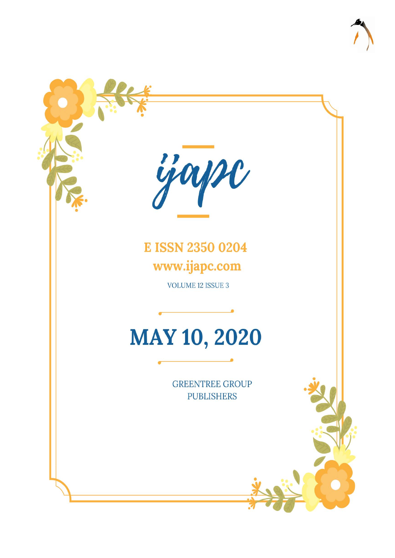

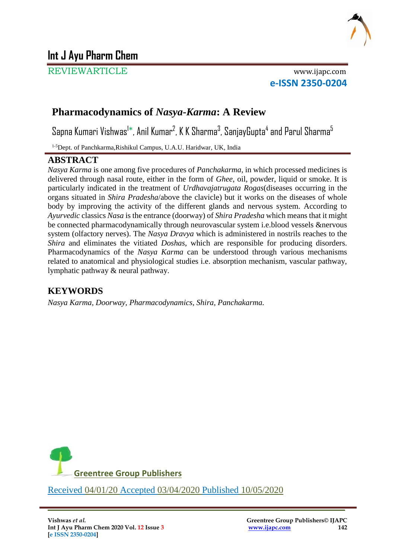

# **Int J Ayu Pharm Chem**

REVIEWARTICLE www.ijapc.com

**e-ISSN 2350-0204**

# **Pharmacodynamics of** *Nasya***-***Karma***: A Review**

Sapna Kumari Vishwas<sup>1\*</sup>, Anil Kumar<sup>2</sup>, K K Sharma<sup>3</sup>, SanjayGupta<sup>4</sup> and Parul Sharma<sup>5</sup>

1-5Dept. of Panchkarma,Rishikul Campus, U.A.U. Haridwar, UK, India

#### **ABSTRACT**

*Nasya Karma* is one among five procedures of *Panchakarma*, in which processed medicines is delivered through nasal route, either in the form of *Ghee*, oil, powder, liquid or smoke. It is particularly indicated in the treatment of *Urdhavajatrugata Rogas*(diseases occurring in the organs situated in *Shira Pradesha*/above the clavicle) but it works on the diseases of whole body by improving the activity of the different glands and nervous system. According to *Ayurvedic* classics *Nasa* is the entrance (doorway) of *Shira Pradesha* which means that it might be connected pharmacodynamically through neurovascular system i.e.blood vessels &nervous system (olfactory nerves). The *Nasya Dravya* which is administered in nostrils reaches to the *Shira* and eliminates the vitiated *Doshas*, which are responsible for producing disorders. Pharmacodynamics of the *Nasya Karma* can be understood through various mechanisms related to anatomical and physiological studies i.e. absorption mechanism, vascular pathway, lymphatic pathway & neural pathway.

## **KEYWORDS**

*Nasya Karma, Doorway, Pharmacodynamics, Shira, Panchakarma.*



\_\_\_\_\_\_\_\_\_\_\_\_\_\_\_\_\_\_\_\_\_\_\_\_\_\_\_\_\_\_\_\_\_\_\_\_\_\_\_\_\_\_\_\_\_\_\_\_\_\_\_\_\_\_\_\_\_\_\_\_\_\_\_\_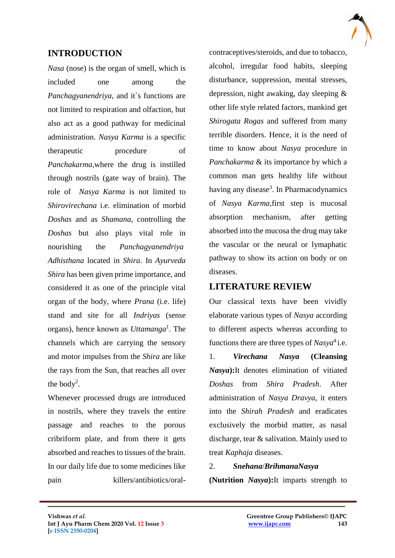

### **INTRODUCTION**

*Nasa* (nose) is the organ of smell, which is included one among the *Panchagyanendriya*, and it's functions are not limited to respiration and olfaction, but also act as a good pathway for medicinal administration. *Nasya Karma* is a specific therapeutic procedure of *Panchakarma,*where the drug is instilled through nostrils (gate way of brain). The role of *Nasya Karma* is not limited to *Shirovirechana* i.e. elimination of morbid *Doshas* and as *Shamana*, controlling the *Doshas* but also plays vital role in nourishing the *Panchagyanendriya Adhisthana* located in *Shira*. In *Ayurveda Shira* has been given prime importance, and considered it as one of the principle vital organ of the body, where *Prana* (i.e. life) stand and site for all *Indriyas* (sense organs), hence known as *Uttamanga*<sup>1</sup> . The channels which are carrying the sensory and motor impulses from the *Shira* are like the rays from the Sun, that reaches all over the body<sup>2</sup>.

Whenever processed drugs are introduced in nostrils, where they travels the entire passage and reaches to the porous cribriform plate, and from there it gets absorbed and reaches to tissues of the brain. In our daily life due to some medicines like pain killers/antibiotics/oralcontraceptives/steroids, and due to tobacco, alcohol, irregular food habits, sleeping disturbance, suppression, mental stresses, depression, night awaking, day sleeping & other life style related factors, mankind get *Shirogata Rogas* and suffered from many terrible disorders. Hence, it is the need of time to know about *Nasya* procedure in *Panchakarma* & its importance by which a common man gets healthy life without having any disease<sup>3</sup>. In Pharmacodynamics of *Nasya Karma,*first step is mucosal absorption mechanism, after getting absorbed into the mucosa the drug may take the vascular or the neural or lymaphatic pathway to show its action on body or on diseases.

### **LITERATURE REVIEW**

Our classical texts have been vividly elaborate various types of *Nasya* according to different aspects whereas according to functions there are three types of  $Nasya<sup>4</sup>$  i.e.

1. *Virechana Nasya* **(Cleansing**  *Nasya***):**It denotes elimination of vitiated *Doshas* from *Shira Pradesh*. After administration of *Nasya Dravya*, it enters into the *Shirah Pradesh* and eradicates exclusively the morbid matter, as nasal discharge, tear & salivation. Mainly used to treat *Kaphaja* diseases.

#### 2. *Snehana*/*BrihmanaNasya*

 $\mathcal{L}_\mathcal{L}$  , and the contribution of the contribution of the contribution of the contribution of the contribution of the contribution of the contribution of the contribution of the contribution of the contribution of

**(Nutrition** *Nasya***):**It imparts strength to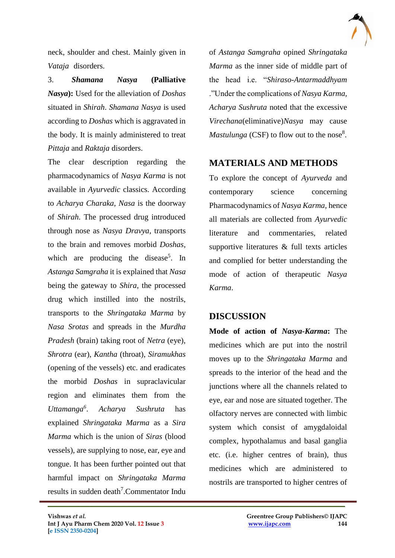

neck, shoulder and chest. Mainly given in *Vataja* disorders.

3. *Shamana Nasya* **(Palliative**  *Nasya***):** Used for the alleviation of *Doshas* situated in *Shirah*. *Shamana Nasya* is used according to *Doshas* which is aggravated in the body. It is mainly administered to treat *Pittaja* and *Raktaja* disorders.

The clear description regarding the pharmacodynamics of *Nasya Karma* is not available in *Ayurvedic* classics. According to *Acharya Charaka*, *Nasa* is the doorway of *Shirah*. The processed drug introduced through nose as *Nasya Dravya,* transports to the brain and removes morbid *Doshas*, which are producing the disease<sup>5</sup>. In *Astanga Samgraha* it is explained that *Nasa* being the gateway to *Shira*, the processed drug which instilled into the nostrils, transports to the *Shringataka Marma* by *Nasa Srotas* and spreads in the *Murdha Pradesh* (brain) taking root of *Netra* (eye), *Shrotra* (ear), *Kantha* (throat), *Siramukhas* (opening of the vessels) etc. and eradicates the morbid *Doshas* in supraclavicular region and eliminates them from the *Uttamanga<sup>6</sup>* . *Acharya Sushruta* has explained *Shringataka Marma* as a *Sira Marma* which is the union of *Siras* (blood vessels), are supplying to nose, ear, eye and tongue. It has been further pointed out that harmful impact on *Shringataka Marma*  results in sudden death<sup>7</sup>. Commentator Indu

of *Astanga Samgraha* opined *Shringataka Marma* as the inner side of middle part of the head i.e. "*Shiraso-Antarmaddhyam* ."Under the complications of *Nasya Karma, Acharya Sushruta* noted that the excessive *Virechana*(eliminative)*Nasya* may cause *Mastulunga* (CSF) to flow out to the nose<sup>8</sup>.

# **MATERIALS AND METHODS**

To explore the concept of *Ayurveda* and contemporary science concerning Pharmacodynamics of *Nasya Karma*, hence all materials are collected from *Ayurvedic* literature and commentaries, related supportive literatures & full texts articles and complied for better understanding the mode of action of therapeutic *Nasya Karma*.

### **DISCUSSION**

 $\mathcal{L}_\mathcal{L}$  , and the contribution of the contribution of the contribution of the contribution of the contribution of the contribution of the contribution of the contribution of the contribution of the contribution of

**Mode of action of** *Nasya-Karma***:** The medicines which are put into the nostril moves up to the *Shringataka Marma* and spreads to the interior of the head and the junctions where all the channels related to eye, ear and nose are situated together. The olfactory nerves are connected with limbic system which consist of amygdaloidal complex, hypothalamus and basal ganglia etc. (i.e. higher centres of brain), thus medicines which are administered to nostrils are transported to higher centres of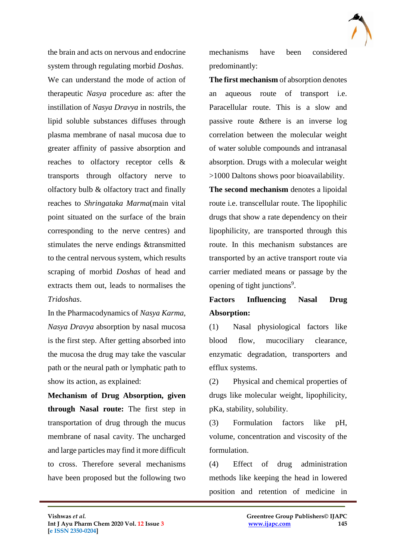

the brain and acts on nervous and endocrine system through regulating morbid *Doshas*. We can understand the mode of action of therapeutic *Nasya* procedure as: after the instillation of *Nasya Dravya* in nostrils, the lipid soluble substances diffuses through plasma membrane of nasal mucosa due to greater affinity of passive absorption and reaches to olfactory receptor cells & transports through olfactory nerve to olfactory bulb & olfactory tract and finally reaches to *Shringataka Marma*(main vital point situated on the surface of the brain corresponding to the nerve centres) and stimulates the nerve endings &transmitted to the central nervous system, which results scraping of morbid *Doshas* of head and extracts them out, leads to normalises the *Tridoshas*.

In the Pharmacodynamics of *Nasya Karma, Nasya Dravya* absorption by nasal mucosa is the first step. After getting absorbed into the mucosa the drug may take the vascular path or the neural path or lymphatic path to show its action, as explained:

**Mechanism of Drug Absorption, given through Nasal route:** The first step in transportation of drug through the mucus membrane of nasal cavity. The uncharged and large particles may find it more difficult to cross. Therefore several mechanisms have been proposed but the following two

mechanisms have been considered predominantly:

**The first mechanism** of absorption denotes an aqueous route of transport i.e. Paracellular route. This is a slow and passive route &there is an inverse log correlation between the molecular weight of water soluble compounds and intranasal absorption. Drugs with a molecular weight >1000 Daltons shows poor bioavailability.

**The second mechanism** denotes a lipoidal route i.e. transcellular route. The lipophilic drugs that show a rate dependency on their lipophilicity, are transported through this route. In this mechanism substances are transported by an active transport route via carrier mediated means or passage by the opening of tight junctions<sup>9</sup>.

## **Factors Influencing Nasal Drug Absorption:**

(1) Nasal physiological factors like blood flow, mucociliary clearance, enzymatic degradation, transporters and efflux systems.

(2) Physical and chemical properties of drugs like molecular weight, lipophilicity, pKa, stability, solubility.

(3) Formulation factors like pH, volume, concentration and viscosity of the formulation.

(4) Effect of drug administration methods like keeping the head in lowered position and retention of medicine in

 $\mathcal{L}_\mathcal{L}$  , and the contribution of the contribution of the contribution of the contribution of the contribution of the contribution of the contribution of the contribution of the contribution of the contribution of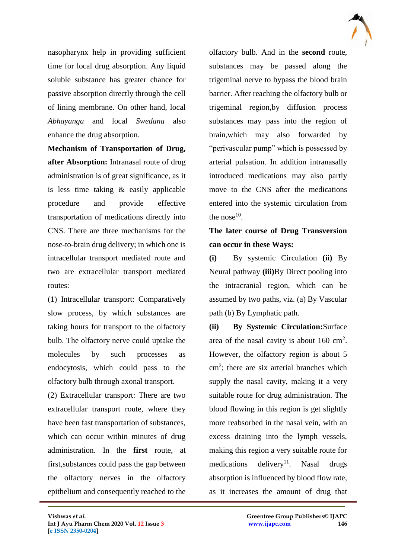

nasopharynx help in providing sufficient time for local drug absorption. Any liquid soluble substance has greater chance for passive absorption directly through the cell of lining membrane. On other hand, local *Abhayanga* and local *Swedana* also enhance the drug absorption.

**Mechanism of Transportation of Drug, after Absorption:** Intranasal route of drug administration is of great significance, as it is less time taking & easily applicable procedure and provide effective transportation of medications directly into CNS. There are three mechanisms for the nose-to-brain drug delivery; in which one is intracellular transport mediated route and two are extracellular transport mediated routes:

(1) Intracellular transport: Comparatively slow process, by which substances are taking hours for transport to the olfactory bulb. The olfactory nerve could uptake the molecules by such processes as endocytosis, which could pass to the olfactory bulb through axonal transport.

(2) Extracellular transport: There are two extracellular transport route, where they have been fast transportation of substances, which can occur within minutes of drug administration. In the **first** route, at first,substances could pass the gap between the olfactory nerves in the olfactory epithelium and consequently reached to the

 $\mathcal{L}_\mathcal{L}$  , and the contribution of the contribution of the contribution of the contribution of the contribution of the contribution of the contribution of the contribution of the contribution of the contribution of

olfactory bulb. And in the **second** route, substances may be passed along the trigeminal nerve to bypass the blood brain barrier. After reaching the olfactory bulb or trigeminal region,by diffusion process substances may pass into the region of brain,which may also forwarded by "perivascular pump" which is possessed by arterial pulsation. In addition intranasally introduced medications may also partly move to the CNS after the medications entered into the systemic circulation from the nose $10$ .

# **The later course of Drug Transversion can occur in these Ways:**

**(i)** By systemic Circulation **(ii)** By Neural pathway **(iii)**By Direct pooling into the intracranial region, which can be assumed by two paths, viz. (a) By Vascular path (b) By Lymphatic path.

**(ii) By Systemic Circulation:**Surface area of the nasal cavity is about  $160 \text{ cm}^2$ . However, the olfactory region is about 5 cm<sup>2</sup>; there are six arterial branches which supply the nasal cavity, making it a very suitable route for drug administration. The blood flowing in this region is get slightly more reabsorbed in the nasal vein, with an excess draining into the lymph vessels, making this region a very suitable route for medications delivery<sup>11</sup>. Nasal drugs absorption is influenced by blood flow rate, as it increases the amount of drug that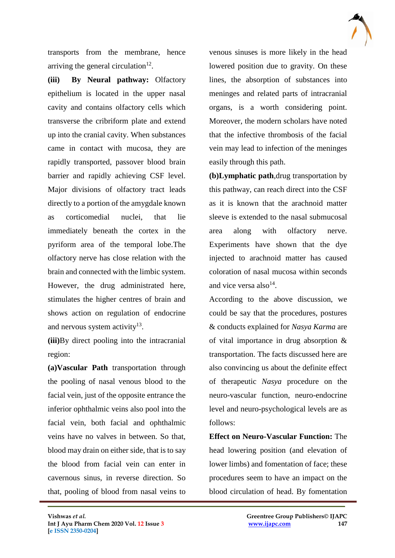

transports from the membrane, hence arriving the general circulation $^{12}$ .

**(iii) By Neural pathway:** Olfactory epithelium is located in the upper nasal cavity and contains olfactory cells which transverse the cribriform plate and extend up into the cranial cavity. When substances came in contact with mucosa, they are rapidly transported, passover blood brain barrier and rapidly achieving CSF level. Major divisions of olfactory tract leads directly to a portion of the amygdale known as corticomedial nuclei, that lie immediately beneath the cortex in the pyriform area of the temporal lobe.The olfactory nerve has close relation with the brain and connected with the limbic system. However, the drug administrated here, stimulates the higher centres of brain and shows action on regulation of endocrine and nervous system activity $13$ .

**(iii)**By direct pooling into the intracranial region:

**(a)Vascular Path** transportation through the pooling of nasal venous blood to the facial vein, just of the opposite entrance the inferior ophthalmic veins also pool into the facial vein, both facial and ophthalmic veins have no valves in between. So that, blood may drain on either side, that is to say the blood from facial vein can enter in cavernous sinus, in reverse direction. So that, pooling of blood from nasal veins to

venous sinuses is more likely in the head lowered position due to gravity. On these lines, the absorption of substances into meninges and related parts of intracranial organs, is a worth considering point. Moreover, the modern scholars have noted that the infective thrombosis of the facial vein may lead to infection of the meninges easily through this path.

**(b)Lymphatic path**,drug transportation by this pathway, can reach direct into the CSF as it is known that the arachnoid matter sleeve is extended to the nasal submucosal area along with olfactory nerve. Experiments have shown that the dye injected to arachnoid matter has caused coloration of nasal mucosa within seconds and vice versa also $^{14}$ .

According to the above discussion, we could be say that the procedures, postures & conducts explained for *Nasya Karma* are of vital importance in drug absorption & transportation. The facts discussed here are also convincing us about the definite effect of therapeutic *Nasya* procedure on the neuro-vascular function, neuro-endocrine level and neuro-psychological levels are as follows:

**Effect on Neuro-Vascular Function:** The head lowering position (and elevation of lower limbs) and fomentation of face; these procedures seem to have an impact on the blood circulation of head. By fomentation

 $\mathcal{L}_\mathcal{L}$  , and the contribution of the contribution of the contribution of the contribution of the contribution of the contribution of the contribution of the contribution of the contribution of the contribution of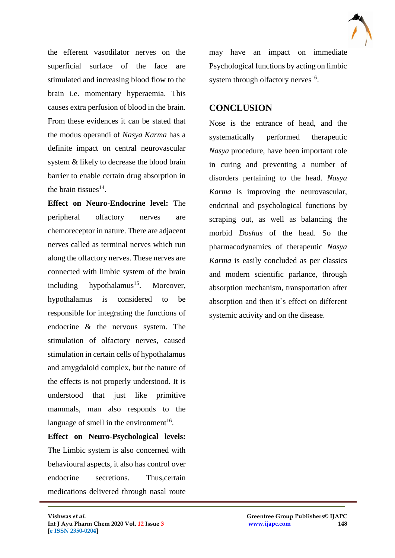

the efferent vasodilator nerves on the superficial surface of the face are stimulated and increasing blood flow to the brain i.e. momentary hyperaemia. This causes extra perfusion of blood in the brain. From these evidences it can be stated that the modus operandi of *Nasya Karma* has a definite impact on central neurovascular system & likely to decrease the blood brain barrier to enable certain drug absorption in the brain tissues $^{14}$ .

**Effect on Neuro-Endocrine level:** The peripheral olfactory nerves are chemoreceptor in nature. There are adjacent nerves called as terminal nerves which run along the olfactory nerves. These nerves are connected with limbic system of the brain including hypothalamus<sup>15</sup>. Moreover, hypothalamus is considered to be responsible for integrating the functions of endocrine & the nervous system. The stimulation of olfactory nerves, caused stimulation in certain cells of hypothalamus and amygdaloid complex, but the nature of the effects is not properly understood. It is understood that just like primitive mammals, man also responds to the language of smell in the environment<sup>16</sup>.

**Effect on Neuro-Psychological levels:**  The Limbic system is also concerned with behavioural aspects, it also has control over endocrine secretions. Thus,certain medications delivered through nasal route

 $\mathcal{L}_\mathcal{L}$  , and the contribution of the contribution of the contribution of the contribution of the contribution of the contribution of the contribution of the contribution of the contribution of the contribution of

may have an impact on immediate Psychological functions by acting on limbic system through olfactory nerves<sup>16</sup>.

#### **CONCLUSION**

Nose is the entrance of head, and the systematically performed therapeutic *Nasya* procedure, have been important role in curing and preventing a number of disorders pertaining to the head. *Nasya Karma* is improving the neurovascular, endcrinal and psychological functions by scraping out, as well as balancing the morbid *Doshas* of the head. So the pharmacodynamics of therapeutic *Nasya Karma* is easily concluded as per classics and modern scientific parlance, through absorption mechanism, transportation after absorption and then it`s effect on different systemic activity and on the disease.